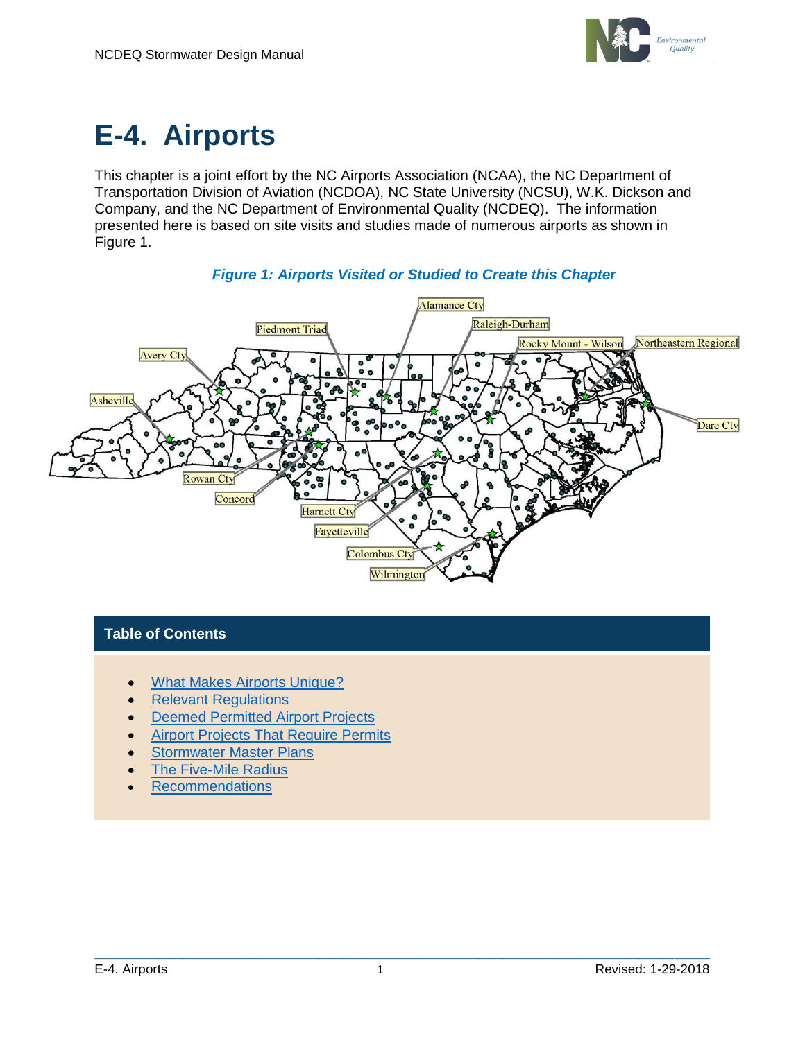

# **E-4. Airports**

This chapter is a joint effort by the NC Airports Association (NCAA), the NC Department of Transportation Division of Aviation (NCDOA), NC State University (NCSU), W.K. Dickson and Company, and the NC Department of Environmental Quality (NCDEQ). The information presented here is based on site visits and studies made of numerous airports as shown in Figure 1.



#### *Figure 1: Airports Visited or Studied to Create this Chapter*

#### **Table of Contents**

- [What Makes Airports Unique?](#page-1-0)
- [Relevant Regulations](#page-2-0)
- [Deemed Permitted Airport Projects](#page-3-0)
- **[Airport Projects That Require Permits](#page-5-0)**
- **[Stormwater Master Plans](#page-7-0)**
- [The Five-Mile Radius](#page-7-1)
- [Recommendations](#page-8-0)

 $\mathcal{L}_\mathcal{L} = \{ \mathcal{L}_\mathcal{L} = \{ \mathcal{L}_\mathcal{L} = \{ \mathcal{L}_\mathcal{L} = \{ \mathcal{L}_\mathcal{L} = \{ \mathcal{L}_\mathcal{L} = \{ \mathcal{L}_\mathcal{L} = \{ \mathcal{L}_\mathcal{L} = \{ \mathcal{L}_\mathcal{L} = \{ \mathcal{L}_\mathcal{L} = \{ \mathcal{L}_\mathcal{L} = \{ \mathcal{L}_\mathcal{L} = \{ \mathcal{L}_\mathcal{L} = \{ \mathcal{L}_\mathcal{L} = \{ \mathcal{L}_\mathcal{$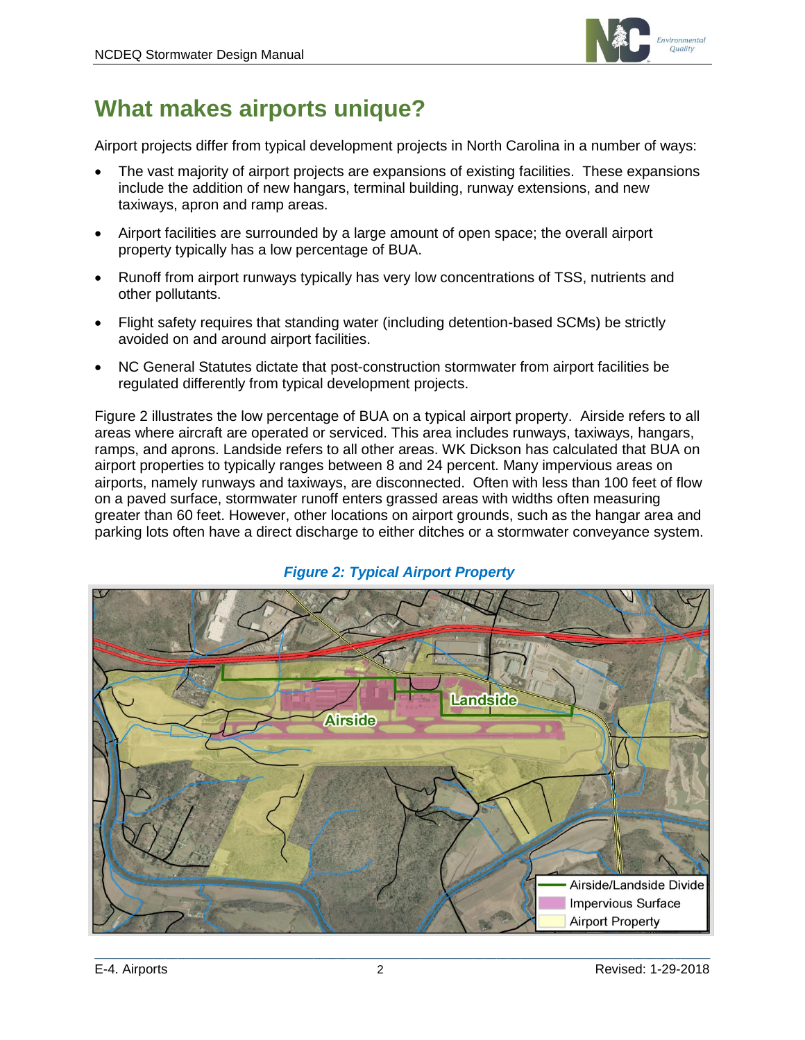

# <span id="page-1-0"></span>**What makes airports unique?**

Airport projects differ from typical development projects in North Carolina in a number of ways:

- The vast majority of airport projects are expansions of existing facilities. These expansions include the addition of new hangars, terminal building, runway extensions, and new taxiways, apron and ramp areas.
- Airport facilities are surrounded by a large amount of open space; the overall airport property typically has a low percentage of BUA.
- Runoff from airport runways typically has very low concentrations of TSS, nutrients and other pollutants.
- Flight safety requires that standing water (including detention-based SCMs) be strictly avoided on and around airport facilities.
- NC General Statutes dictate that post-construction stormwater from airport facilities be regulated differently from typical development projects.

Figure 2 illustrates the low percentage of BUA on a typical airport property. Airside refers to all areas where aircraft are operated or serviced. This area includes runways, taxiways, hangars, ramps, and aprons. Landside refers to all other areas. WK Dickson has calculated that BUA on airport properties to typically ranges between 8 and 24 percent. Many impervious areas on airports, namely runways and taxiways, are disconnected. Often with less than 100 feet of flow on a paved surface, stormwater runoff enters grassed areas with widths often measuring greater than 60 feet. However, other locations on airport grounds, such as the hangar area and parking lots often have a direct discharge to either ditches or a stormwater conveyance system.



#### *Figure 2: Typical Airport Property*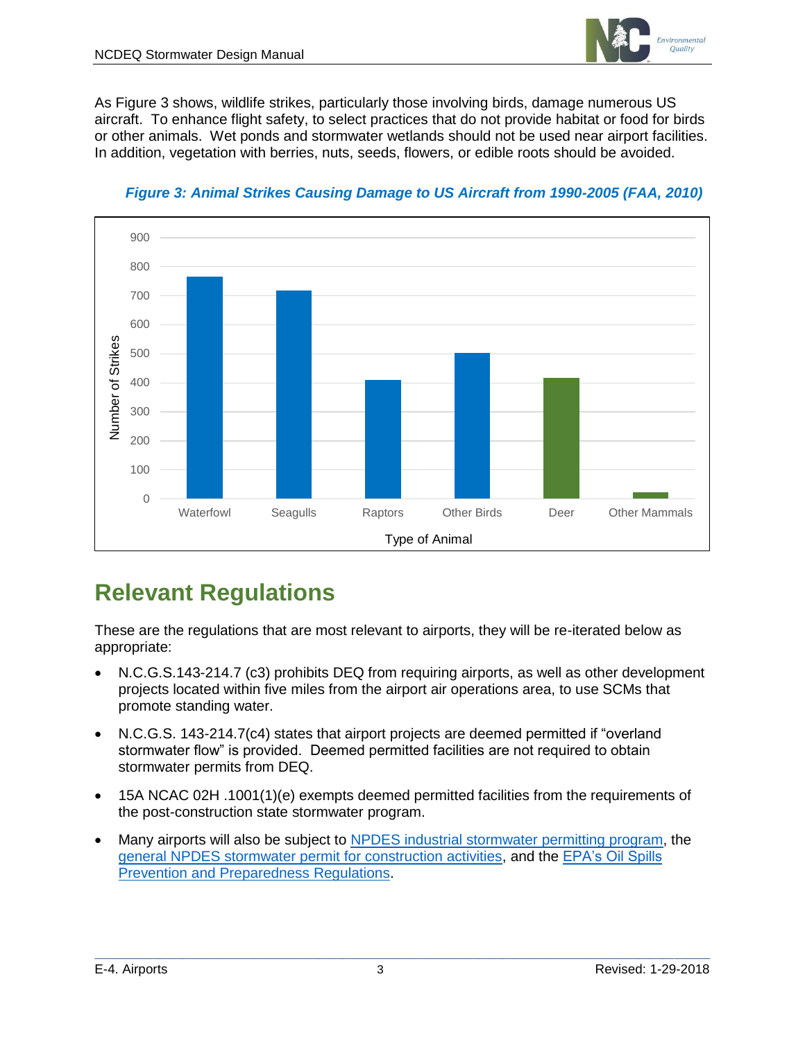

As Figure 3 shows, wildlife strikes, particularly those involving birds, damage numerous US aircraft. To enhance flight safety, to select practices that do not provide habitat or food for birds or other animals. Wet ponds and stormwater wetlands should not be used near airport facilities. In addition, vegetation with berries, nuts, seeds, flowers, or edible roots should be avoided.



*Figure 3: Animal Strikes Causing Damage to US Aircraft from 1990-2005 (FAA, 2010)*

# <span id="page-2-0"></span>**Relevant Regulations**

These are the regulations that are most relevant to airports, they will be re-iterated below as appropriate:

- N.C.G.S.143-214.7 (c3) prohibits DEQ from requiring airports, as well as other development projects located within five miles from the airport air operations area, to use SCMs that promote standing water.
- N.C.G.S. 143-214.7(c4) states that airport projects are deemed permitted if "overland stormwater flow" is provided. Deemed permitted facilities are not required to obtain stormwater permits from DEQ.
- 15A NCAC 02H .1001(1)(e) exempts deemed permitted facilities from the requirements of the post-construction state stormwater program.
- Many airports will also be subject to [NPDES industrial stormwater permitting program,](http://deq.nc.gov/about/divisions/energy-mineral-land-resources/energy-mineral-land-permits/stormwater-permits/npdes-industrial-sw) the [general NPDES stormwater permit for construction activities,](https://ncdenr.s3.amazonaws.com/s3fs-public/Energy%20Mineral%20and%20Land%20Resources/Stormwater/NPDES%20General%20Permits/NCG01%20Permit%20Renewal%202016.pdf) and the [EPA's Oil Spills](https://www.epa.gov/oil-spills-prevention-and-preparedness-regulations)  [Prevention and Preparedness Regulations.](https://www.epa.gov/oil-spills-prevention-and-preparedness-regulations)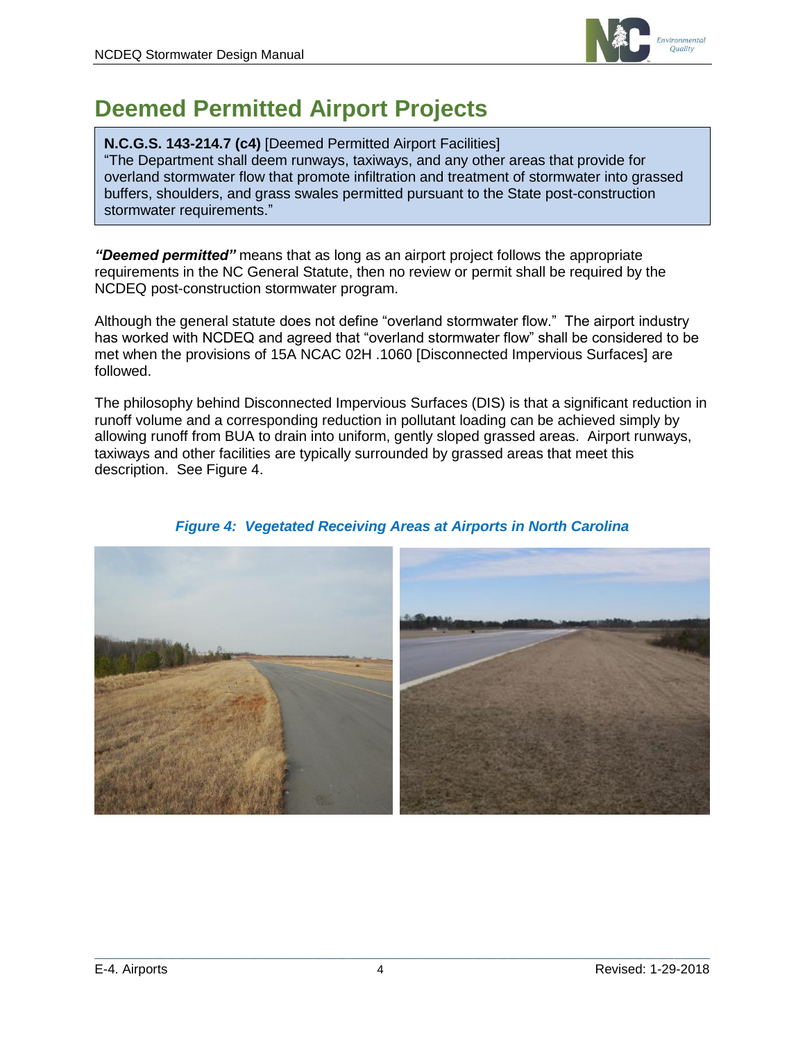

# <span id="page-3-0"></span>**Deemed Permitted Airport Projects**

#### **N.C.G.S. 143-214.7 (c4)** [Deemed Permitted Airport Facilities]

"The Department shall deem runways, taxiways, and any other areas that provide for overland stormwater flow that promote infiltration and treatment of stormwater into grassed buffers, shoulders, and grass swales permitted pursuant to the State post-construction stormwater requirements."

*"Deemed permitted"* means that as long as an airport project follows the appropriate requirements in the NC General Statute, then no review or permit shall be required by the NCDEQ post-construction stormwater program.

Although the general statute does not define "overland stormwater flow." The airport industry has worked with NCDEQ and agreed that "overland stormwater flow" shall be considered to be met when the provisions of 15A NCAC 02H .1060 [Disconnected Impervious Surfaces] are followed.

The philosophy behind Disconnected Impervious Surfaces (DIS) is that a significant reduction in runoff volume and a corresponding reduction in pollutant loading can be achieved simply by allowing runoff from BUA to drain into uniform, gently sloped grassed areas. Airport runways, taxiways and other facilities are typically surrounded by grassed areas that meet this description. See Figure 4.



#### *Figure 4: Vegetated Receiving Areas at Airports in North Carolina*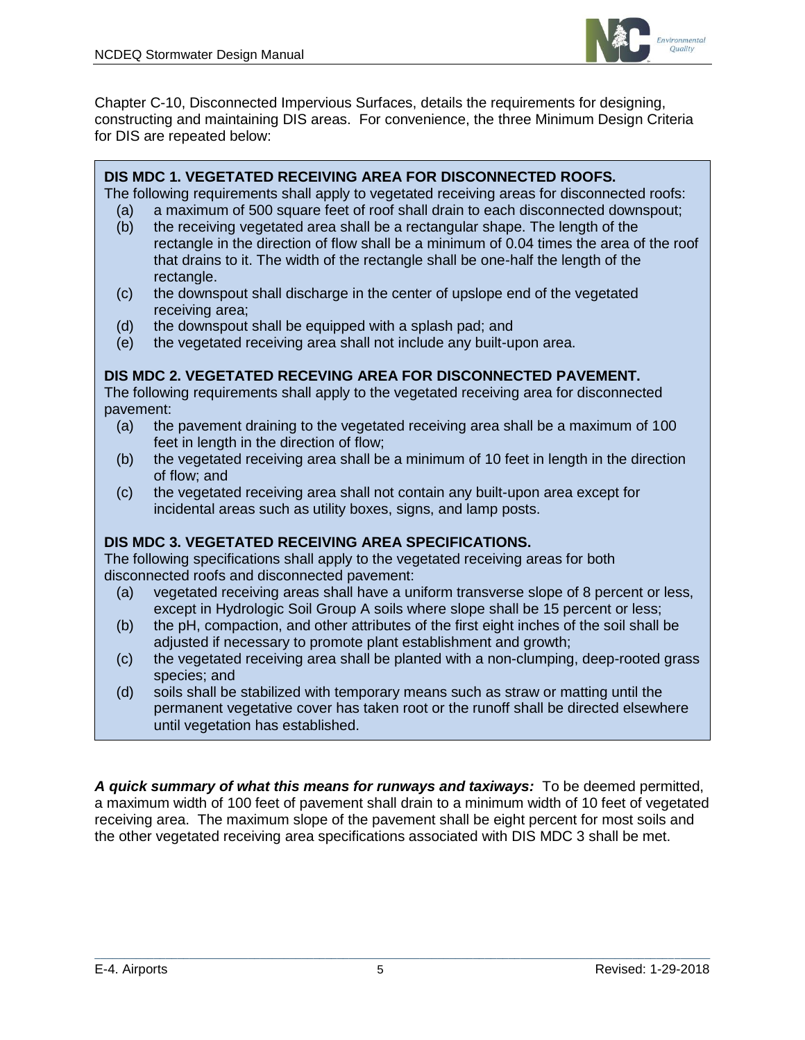

Chapter C-10, Disconnected Impervious Surfaces, details the requirements for designing, constructing and maintaining DIS areas. For convenience, the three Minimum Design Criteria for DIS are repeated below:

#### **DIS MDC 1. VEGETATED RECEIVING AREA FOR DISCONNECTED ROOFS.**

The following requirements shall apply to vegetated receiving areas for disconnected roofs:

- (a) a maximum of 500 square feet of roof shall drain to each disconnected downspout;
- (b) the receiving vegetated area shall be a rectangular shape. The length of the rectangle in the direction of flow shall be a minimum of 0.04 times the area of the roof that drains to it. The width of the rectangle shall be one-half the length of the rectangle.
- (c) the downspout shall discharge in the center of upslope end of the vegetated receiving area;
- (d) the downspout shall be equipped with a splash pad; and
- (e) the vegetated receiving area shall not include any built-upon area.

#### **DIS MDC 2. VEGETATED RECEVING AREA FOR DISCONNECTED PAVEMENT.**

The following requirements shall apply to the vegetated receiving area for disconnected pavement:

- (a) the pavement draining to the vegetated receiving area shall be a maximum of 100 feet in length in the direction of flow;
- (b) the vegetated receiving area shall be a minimum of 10 feet in length in the direction of flow; and
- (c) the vegetated receiving area shall not contain any built-upon area except for incidental areas such as utility boxes, signs, and lamp posts.

#### **DIS MDC 3. VEGETATED RECEIVING AREA SPECIFICATIONS.**

The following specifications shall apply to the vegetated receiving areas for both disconnected roofs and disconnected pavement:

- (a) vegetated receiving areas shall have a uniform transverse slope of 8 percent or less, except in Hydrologic Soil Group A soils where slope shall be 15 percent or less;
- (b) the pH, compaction, and other attributes of the first eight inches of the soil shall be adjusted if necessary to promote plant establishment and growth;
- (c) the vegetated receiving area shall be planted with a non-clumping, deep-rooted grass species; and
- (d) soils shall be stabilized with temporary means such as straw or matting until the permanent vegetative cover has taken root or the runoff shall be directed elsewhere until vegetation has established.

*A quick summary of what this means for runways and taxiways:* To be deemed permitted, a maximum width of 100 feet of pavement shall drain to a minimum width of 10 feet of vegetated receiving area. The maximum slope of the pavement shall be eight percent for most soils and the other vegetated receiving area specifications associated with DIS MDC 3 shall be met.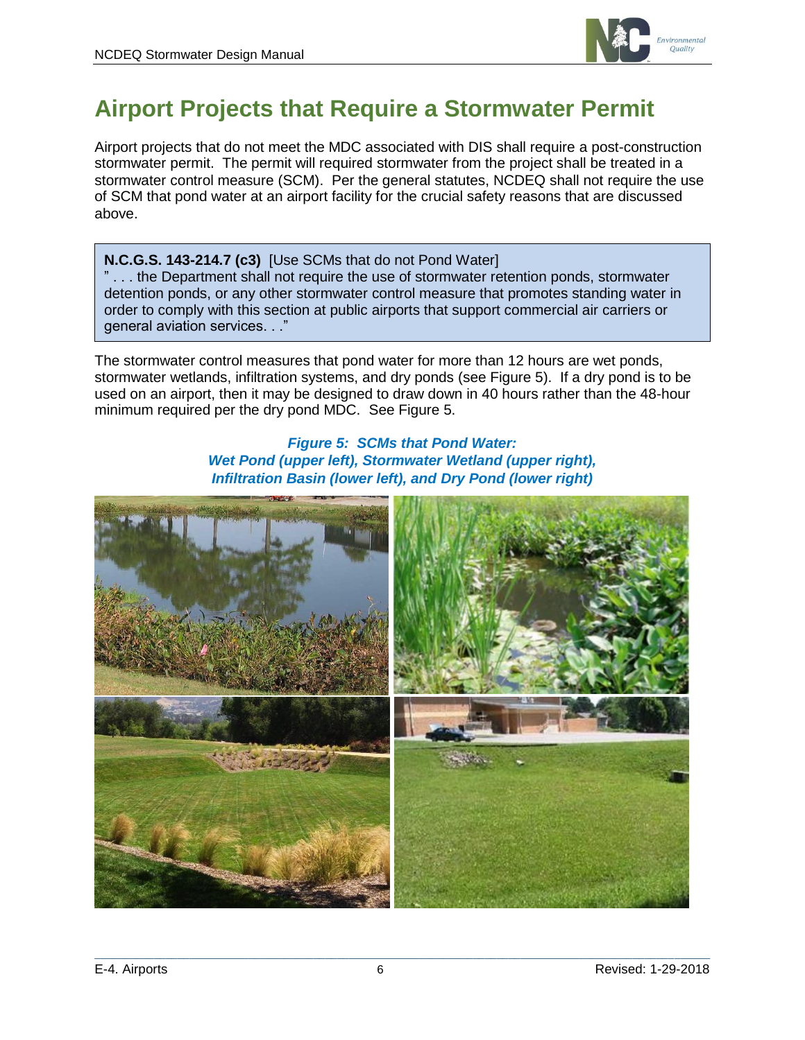

# <span id="page-5-0"></span>**Airport Projects that Require a Stormwater Permit**

Airport projects that do not meet the MDC associated with DIS shall require a post-construction stormwater permit. The permit will required stormwater from the project shall be treated in a stormwater control measure (SCM). Per the general statutes, NCDEQ shall not require the use of SCM that pond water at an airport facility for the crucial safety reasons that are discussed above.

**N.C.G.S. 143-214.7 (c3)** [Use SCMs that do not Pond Water] " . . . the Department shall not require the use of stormwater retention ponds, stormwater detention ponds, or any other stormwater control measure that promotes standing water in order to comply with this section at public airports that support commercial air carriers or general aviation services. . ."

The stormwater control measures that pond water for more than 12 hours are wet ponds, stormwater wetlands, infiltration systems, and dry ponds (see Figure 5). If a dry pond is to be used on an airport, then it may be designed to draw down in 40 hours rather than the 48-hour minimum required per the dry pond MDC. See Figure 5.

#### *Figure 5: SCMs that Pond Water: Wet Pond (upper left), Stormwater Wetland (upper right), Infiltration Basin (lower left), and Dry Pond (lower right)*

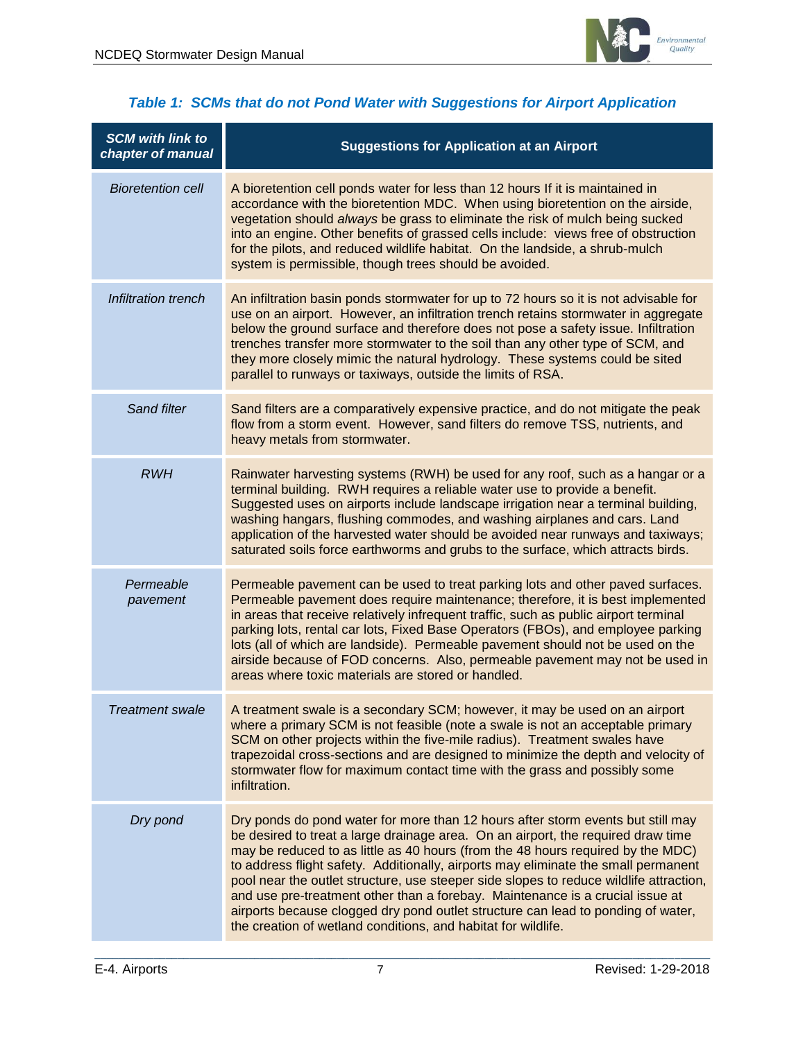

| <b>SCM with link to</b><br>chapter of manual | <b>Suggestions for Application at an Airport</b>                                                                                                                                                                                                                                                                                                                                                                                                                                                                                                                                                                                                                             |
|----------------------------------------------|------------------------------------------------------------------------------------------------------------------------------------------------------------------------------------------------------------------------------------------------------------------------------------------------------------------------------------------------------------------------------------------------------------------------------------------------------------------------------------------------------------------------------------------------------------------------------------------------------------------------------------------------------------------------------|
| <b>Bioretention cell</b>                     | A bioretention cell ponds water for less than 12 hours If it is maintained in<br>accordance with the bioretention MDC. When using bioretention on the airside,<br>vegetation should always be grass to eliminate the risk of mulch being sucked<br>into an engine. Other benefits of grassed cells include: views free of obstruction<br>for the pilots, and reduced wildlife habitat. On the landside, a shrub-mulch<br>system is permissible, though trees should be avoided.                                                                                                                                                                                              |
| Infiltration trench                          | An infiltration basin ponds stormwater for up to 72 hours so it is not advisable for<br>use on an airport. However, an infiltration trench retains stormwater in aggregate<br>below the ground surface and therefore does not pose a safety issue. Infiltration<br>trenches transfer more stormwater to the soil than any other type of SCM, and<br>they more closely mimic the natural hydrology. These systems could be sited<br>parallel to runways or taxiways, outside the limits of RSA.                                                                                                                                                                               |
| Sand filter                                  | Sand filters are a comparatively expensive practice, and do not mitigate the peak<br>flow from a storm event. However, sand filters do remove TSS, nutrients, and<br>heavy metals from stormwater.                                                                                                                                                                                                                                                                                                                                                                                                                                                                           |
| <b>RWH</b>                                   | Rainwater harvesting systems (RWH) be used for any roof, such as a hangar or a<br>terminal building. RWH requires a reliable water use to provide a benefit.<br>Suggested uses on airports include landscape irrigation near a terminal building,<br>washing hangars, flushing commodes, and washing airplanes and cars. Land<br>application of the harvested water should be avoided near runways and taxiways;<br>saturated soils force earthworms and grubs to the surface, which attracts birds.                                                                                                                                                                         |
| Permeable<br>pavement                        | Permeable pavement can be used to treat parking lots and other paved surfaces.<br>Permeable pavement does require maintenance; therefore, it is best implemented<br>in areas that receive relatively infrequent traffic, such as public airport terminal<br>parking lots, rental car lots, Fixed Base Operators (FBOs), and employee parking<br>lots (all of which are landside). Permeable pavement should not be used on the<br>airside because of FOD concerns. Also, permeable pavement may not be used in<br>areas where toxic materials are stored or handled.                                                                                                         |
| <i>I</i> reatment swale                      | A treatment swale is a secondary SCM; however, it may be used on an airport<br>where a primary SCM is not feasible (note a swale is not an acceptable primary<br>SCM on other projects within the five-mile radius). Treatment swales have<br>trapezoidal cross-sections and are designed to minimize the depth and velocity of<br>stormwater flow for maximum contact time with the grass and possibly some<br>infiltration.                                                                                                                                                                                                                                                |
| Dry pond                                     | Dry ponds do pond water for more than 12 hours after storm events but still may<br>be desired to treat a large drainage area. On an airport, the required draw time<br>may be reduced to as little as 40 hours (from the 48 hours required by the MDC)<br>to address flight safety. Additionally, airports may eliminate the small permanent<br>pool near the outlet structure, use steeper side slopes to reduce wildlife attraction,<br>and use pre-treatment other than a forebay. Maintenance is a crucial issue at<br>airports because clogged dry pond outlet structure can lead to ponding of water,<br>the creation of wetland conditions, and habitat for wildlife. |

#### *Table 1: SCMs that do not Pond Water with Suggestions for Airport Application*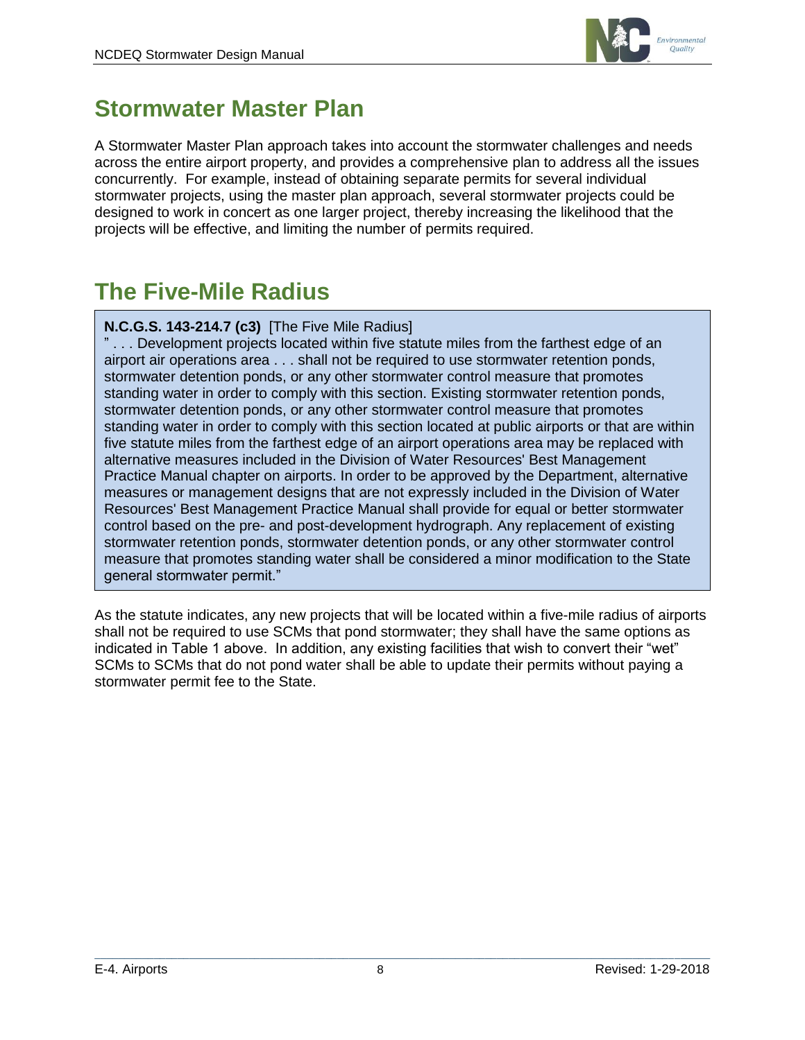

### <span id="page-7-0"></span>**Stormwater Master Plan**

A Stormwater Master Plan approach takes into account the stormwater challenges and needs across the entire airport property, and provides a comprehensive plan to address all the issues concurrently. For example, instead of obtaining separate permits for several individual stormwater projects, using the master plan approach, several stormwater projects could be designed to work in concert as one larger project, thereby increasing the likelihood that the projects will be effective, and limiting the number of permits required.

### <span id="page-7-1"></span>**The Five-Mile Radius**

#### **N.C.G.S. 143-214.7 (c3)** [The Five Mile Radius]

" . . . Development projects located within five statute miles from the farthest edge of an airport air operations area . . . shall not be required to use stormwater retention ponds, stormwater detention ponds, or any other stormwater control measure that promotes standing water in order to comply with this section. Existing stormwater retention ponds, stormwater detention ponds, or any other stormwater control measure that promotes standing water in order to comply with this section located at public airports or that are within five statute miles from the farthest edge of an airport operations area may be replaced with alternative measures included in the Division of Water Resources' Best Management Practice Manual chapter on airports. In order to be approved by the Department, alternative measures or management designs that are not expressly included in the Division of Water Resources' Best Management Practice Manual shall provide for equal or better stormwater control based on the pre- and post-development hydrograph. Any replacement of existing stormwater retention ponds, stormwater detention ponds, or any other stormwater control measure that promotes standing water shall be considered a minor modification to the State general stormwater permit."

As the statute indicates, any new projects that will be located within a five-mile radius of airports shall not be required to use SCMs that pond stormwater; they shall have the same options as indicated in Table 1 above. In addition, any existing facilities that wish to convert their "wet" SCMs to SCMs that do not pond water shall be able to update their permits without paying a stormwater permit fee to the State.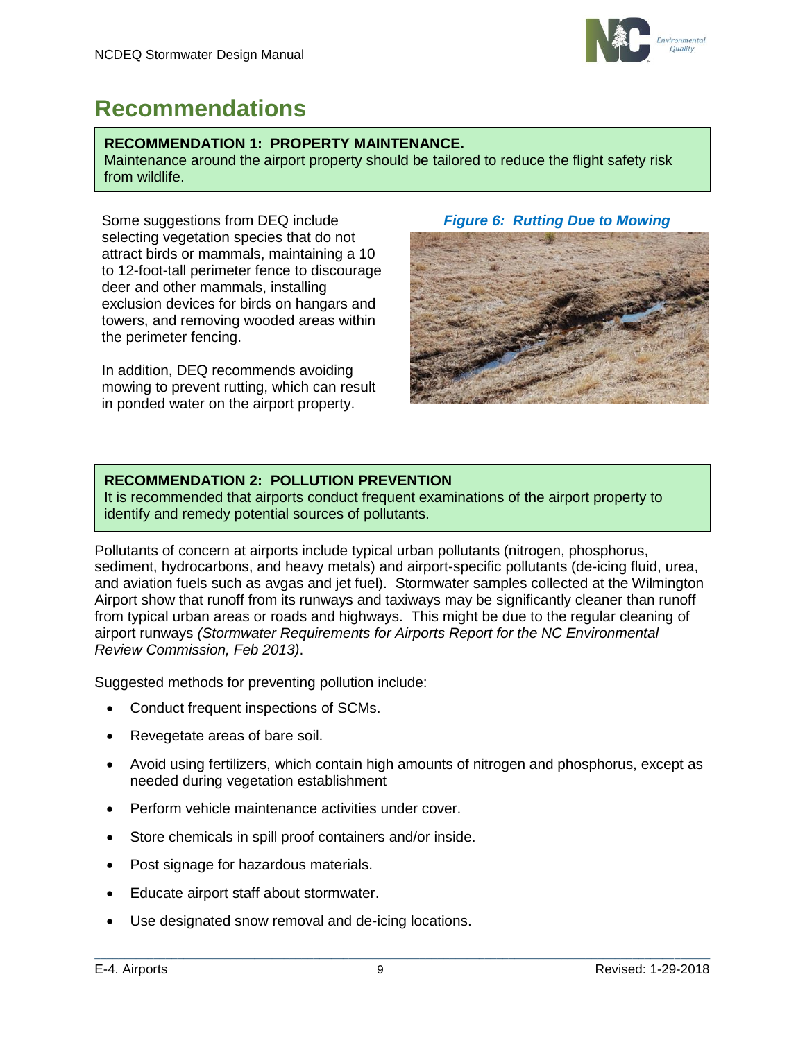

### <span id="page-8-0"></span>**Recommendations**

#### **RECOMMENDATION 1: PROPERTY MAINTENANCE.**

Maintenance around the airport property should be tailored to reduce the flight safety risk from wildlife.

Some suggestions from DEQ include selecting vegetation species that do not attract birds or mammals, maintaining a 10 to 12-foot-tall perimeter fence to discourage deer and other mammals, installing exclusion devices for birds on hangars and towers, and removing wooded areas within the perimeter fencing.

In addition, DEQ recommends avoiding mowing to prevent rutting, which can result in ponded water on the airport property.

#### *Figure 6: Rutting Due to Mowing*



#### **RECOMMENDATION 2: POLLUTION PREVENTION**

It is recommended that airports conduct frequent examinations of the airport property to identify and remedy potential sources of pollutants.

Pollutants of concern at airports include typical urban pollutants (nitrogen, phosphorus, sediment, hydrocarbons, and heavy metals) and airport-specific pollutants (de-icing fluid, urea, and aviation fuels such as avgas and jet fuel). Stormwater samples collected at the Wilmington Airport show that runoff from its runways and taxiways may be significantly cleaner than runoff from typical urban areas or roads and highways. This might be due to the regular cleaning of airport runways *(Stormwater Requirements for Airports Report for the NC Environmental Review Commission, Feb 2013)*.

Suggested methods for preventing pollution include:

- Conduct frequent inspections of SCMs.
- Revegetate areas of bare soil.
- Avoid using fertilizers, which contain high amounts of nitrogen and phosphorus, except as needed during vegetation establishment
- Perform vehicle maintenance activities under cover.
- Store chemicals in spill proof containers and/or inside.
- Post signage for hazardous materials.
- Educate airport staff about stormwater.
- Use designated snow removal and de-icing locations.